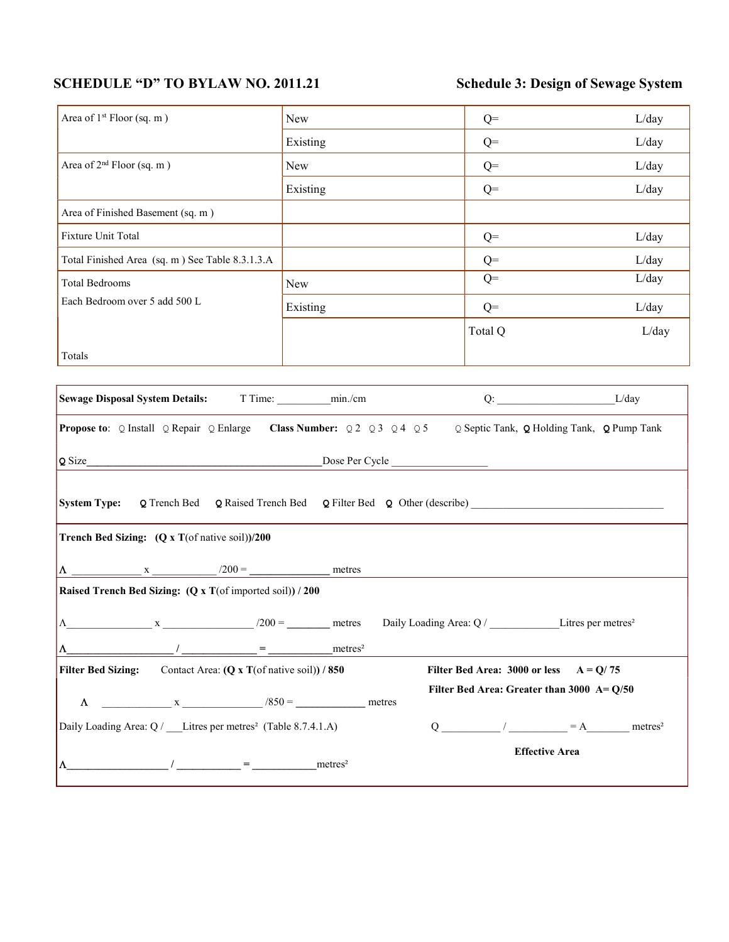## SCHEDULE "D" TO BYLAW NO. 2011.21 Schedule 3: Design of Sewage System

| Area of 1 <sup>st</sup> Floor (sq. m)                                                                                                                                                                                                                                                                                    | New                                                                      | $Q=$                                                      | L/day                        |  |  |
|--------------------------------------------------------------------------------------------------------------------------------------------------------------------------------------------------------------------------------------------------------------------------------------------------------------------------|--------------------------------------------------------------------------|-----------------------------------------------------------|------------------------------|--|--|
|                                                                                                                                                                                                                                                                                                                          | Existing                                                                 | $Q=$                                                      | L/day                        |  |  |
| Area of 2 <sup>nd</sup> Floor (sq. m)                                                                                                                                                                                                                                                                                    | New                                                                      | $Q=$                                                      | L/day                        |  |  |
|                                                                                                                                                                                                                                                                                                                          | Existing                                                                 | $Q=$                                                      | L/day                        |  |  |
| Area of Finished Basement (sq. m)                                                                                                                                                                                                                                                                                        |                                                                          |                                                           |                              |  |  |
| Fixture Unit Total                                                                                                                                                                                                                                                                                                       |                                                                          | $Q=$                                                      | L/day                        |  |  |
| Total Finished Area (sq. m) See Table 8.3.1.3.A                                                                                                                                                                                                                                                                          |                                                                          | $Q=$                                                      | L/day                        |  |  |
| <b>Total Bedrooms</b>                                                                                                                                                                                                                                                                                                    | New                                                                      | $Q=$                                                      | L/day                        |  |  |
| Each Bedroom over 5 add 500 L                                                                                                                                                                                                                                                                                            | Existing                                                                 | $Q=$                                                      | L/day                        |  |  |
|                                                                                                                                                                                                                                                                                                                          |                                                                          | Total Q                                                   | L/day                        |  |  |
| Totals                                                                                                                                                                                                                                                                                                                   |                                                                          |                                                           |                              |  |  |
|                                                                                                                                                                                                                                                                                                                          |                                                                          |                                                           |                              |  |  |
|                                                                                                                                                                                                                                                                                                                          |                                                                          |                                                           |                              |  |  |
| Propose to: Q Install Q Repair Q Enlarge Class Number: Q 2 Q 3 Q 4 Q 5 Q Septic Tank, Q Holding Tank, Q Pump Tank                                                                                                                                                                                                        |                                                                          |                                                           |                              |  |  |
| Q Size                                                                                                                                                                                                                                                                                                                   |                                                                          |                                                           |                              |  |  |
| <b>System Type:</b>                                                                                                                                                                                                                                                                                                      | $Q$ Trench Bed $Q$ Raised Trench Bed $Q$ Filter Bed $Q$ Other (describe) |                                                           |                              |  |  |
| <b>Trench Bed Sizing:</b> $(Q \times T(\text{of native soil}))/200$                                                                                                                                                                                                                                                      |                                                                          |                                                           |                              |  |  |
|                                                                                                                                                                                                                                                                                                                          |                                                                          |                                                           |                              |  |  |
| Raised Trench Bed Sizing: (Q x T(of imported soil)) / 200                                                                                                                                                                                                                                                                |                                                                          |                                                           |                              |  |  |
|                                                                                                                                                                                                                                                                                                                          |                                                                          |                                                           |                              |  |  |
| $\Lambda$ Exercise 2 $x$ 200 = metres Daily Loading Area: Q / Litres per metres <sup>2</sup>                                                                                                                                                                                                                             |                                                                          |                                                           |                              |  |  |
| Λ                                                                                                                                                                                                                                                                                                                        | metres <sup>2</sup>                                                      |                                                           |                              |  |  |
| <b>Filter Bed Sizing:</b><br>Contact Area: $(Q \times T$ (of native soil)) / 850                                                                                                                                                                                                                                         |                                                                          | Filter Bed Area: 3000 or less $A = Q/75$                  |                              |  |  |
| $x \longrightarrow x$ $/850 =$ metres<br>$\Lambda$                                                                                                                                                                                                                                                                       |                                                                          | Filter Bed Area: Greater than $3000 \text{ A} = Q/50$     |                              |  |  |
| Daily Loading Area: Q / Litres per metres <sup>2</sup> (Table 8.7.4.1.A)                                                                                                                                                                                                                                                 |                                                                          | $Q \underline{\hspace{1cm}}$ / $\underline{\hspace{1cm}}$ | $= A$<br>metres <sup>2</sup> |  |  |
|                                                                                                                                                                                                                                                                                                                          |                                                                          | <b>Effective Area</b>                                     |                              |  |  |
| $\frac{1}{2}$ $\frac{1}{2}$ $\frac{1}{2}$ $\frac{1}{2}$ $\frac{1}{2}$ $\frac{1}{2}$ $\frac{1}{2}$ $\frac{1}{2}$ $\frac{1}{2}$ $\frac{1}{2}$ $\frac{1}{2}$ $\frac{1}{2}$ $\frac{1}{2}$ $\frac{1}{2}$ $\frac{1}{2}$ $\frac{1}{2}$ $\frac{1}{2}$ $\frac{1}{2}$ $\frac{1}{2}$ $\frac{1}{2}$ $\frac{1}{2}$ $\frac{1}{2}$<br>Λ | metres <sup>2</sup>                                                      |                                                           |                              |  |  |